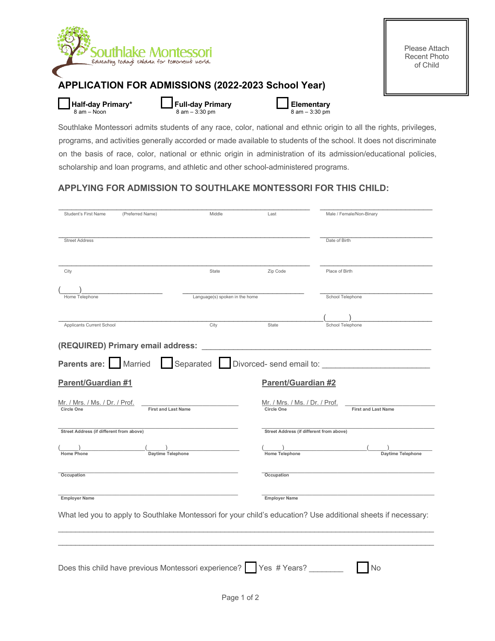

Southlake Montessori admits students of any race, color, national and ethnic origin to all the rights, privileges, programs, and activities generally accorded or made available to students of the school. It does not discriminate on the basis of race, color, national or ethnic origin in administration of its admission/educational policies, scholarship and loan programs, and athletic and other school-administered programs.

## **APPLYING FOR ADMISSION TO SOUTHLAKE MONTESSORI FOR THIS CHILD:**

| Student's First Name                                                                      | (Preferred Name)                                                           | Middle | Last                                                                              | Male / Female/Non-Binary                                                                                      |  |  |  |
|-------------------------------------------------------------------------------------------|----------------------------------------------------------------------------|--------|-----------------------------------------------------------------------------------|---------------------------------------------------------------------------------------------------------------|--|--|--|
| <b>Street Address</b>                                                                     |                                                                            |        |                                                                                   | Date of Birth                                                                                                 |  |  |  |
| City<br>State                                                                             |                                                                            |        | Zip Code                                                                          | Place of Birth                                                                                                |  |  |  |
| Language(s) spoken in the home<br>Home Telephone                                          |                                                                            |        |                                                                                   | School Telephone                                                                                              |  |  |  |
| Applicants Current School                                                                 |                                                                            | City   | State                                                                             | School Telephone                                                                                              |  |  |  |
|                                                                                           | (REQUIRED) Primary email address:                                          |        |                                                                                   |                                                                                                               |  |  |  |
|                                                                                           | Parents are: Married Separated Divorced- send email to:                    |        |                                                                                   |                                                                                                               |  |  |  |
| <b>Parent/Guardian #1</b>                                                                 |                                                                            |        | <b>Parent/Guardian #2</b>                                                         |                                                                                                               |  |  |  |
| <u> Mr. / Mrs. / Ms. / Dr. / Prof.</u><br><b>Circle One</b><br><b>First and Last Name</b> |                                                                            |        | Mr. / Mrs. / Ms. / Dr. / Prof.<br><b>Circle One</b><br><b>First and Last Name</b> |                                                                                                               |  |  |  |
| Street Address (if different from above)                                                  |                                                                            |        | Street Address (if different from above)                                          |                                                                                                               |  |  |  |
| <b>Home Phone</b>                                                                         | Daytime Telephone                                                          |        | <b>Home Telephone</b>                                                             | Daytime Telephone                                                                                             |  |  |  |
| Occupation                                                                                |                                                                            |        | Occupation                                                                        |                                                                                                               |  |  |  |
| <b>Employer Name</b>                                                                      |                                                                            |        | <b>Employer Name</b>                                                              |                                                                                                               |  |  |  |
|                                                                                           |                                                                            |        |                                                                                   | What led you to apply to Southlake Montessori for your child's education? Use additional sheets if necessary: |  |  |  |
|                                                                                           |                                                                            |        |                                                                                   |                                                                                                               |  |  |  |
|                                                                                           | Does this child have previous Montessori experience?   Yes # Years? ______ |        |                                                                                   | No                                                                                                            |  |  |  |